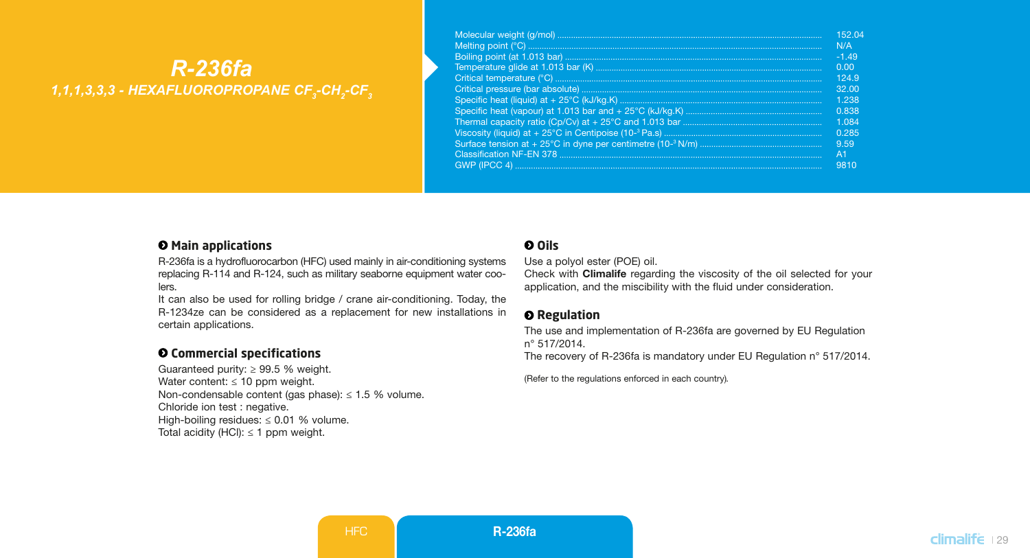# *R-236fa 1,1,1,3,3,3 - HEXAFLUOROPROPANE CF3 -CH2 -CF3*

| 15204          |
|----------------|
| N/A            |
| $-1.49$        |
| 0.00           |
| 1249           |
| 3200           |
| 1 238          |
| 0.838          |
| 1.084          |
| 0.285          |
| 9.59           |
| A <sub>1</sub> |
| 9810           |

#### $\Theta$  Main applications

R-236fa is a hydrofluorocarbon (HFC) used mainly in air-conditioning systems replacing R-114 and R-124, such as military seaborne equipment water coolers.

It can also be used for rolling bridge / crane air-conditioning. Today, the R-1234ze can be considered as a replacement for new installations in certain applications.

## **Commercial specifications**

Guaranteed purity:  $\geq 99.5$  % weight. Water content:  $\leq 10$  ppm weight. Non-condensable content (gas phase):  $\leq 1.5$  % volume. Chloride ion test : negative. High-boiling residues:  $\leq 0.01$  % volume. Total acidity (HCl):  $\leq$  1 ppm weight.

### **Oils**

Use a polyol ester (POE) oil.

Check with Climalife regarding the viscosity of the oil selected for your application, and the miscibility with the fluid under consideration.

#### $Q$  Regulation

The use and implementation of R-236fa are governed by EU Regulation n° 517/2014.

The recovery of R-236fa is mandatory under EU Regulation n° 517/2014.

(Refer to the regulations enforced in each country)*.*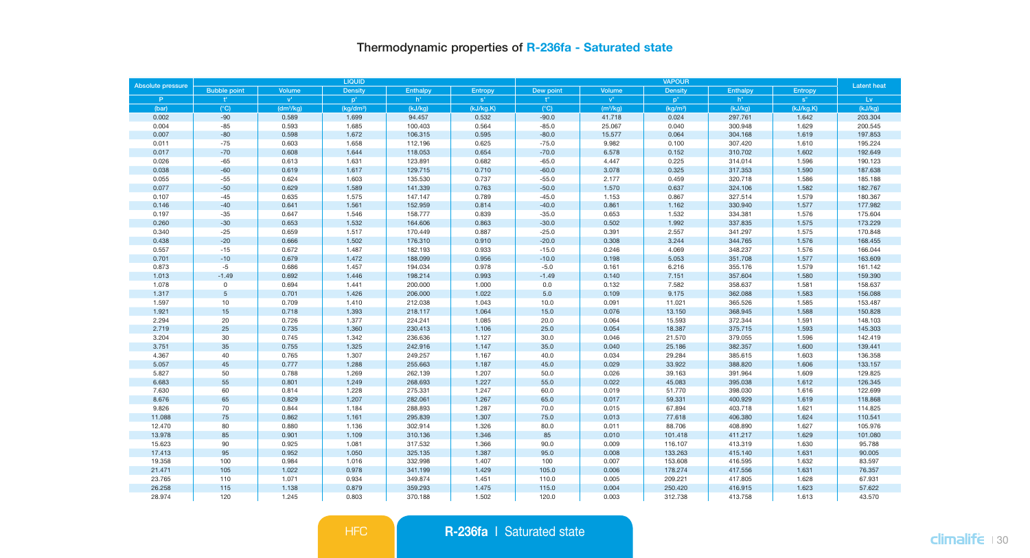# Thermodynamic properties of R-236fa - Saturated state

| Absolute pressure |                     |                           | LIQUID                |                    |                |                  | <b>Latent heat</b> |                      |                    |                |                    |
|-------------------|---------------------|---------------------------|-----------------------|--------------------|----------------|------------------|--------------------|----------------------|--------------------|----------------|--------------------|
|                   | <b>Bubble point</b> | Volume                    | <b>Density</b>        | Enthalpy           | Entropy        | Dew point        | Volume             | Density              | Enthalpy           | Entropy        |                    |
| P.                |                     | $\mathbf{v}^{\mathrm{r}}$ | $p^+$                 | h <sup>*</sup>     | $s^*$          | $+$ <sup>n</sup> | ${\bf v}^n$        | p <sup>n</sup>       | $h^*$              | $s^*$          | Lv                 |
| (bar)             | $(^{\circ}C)$       | (dm <sup>3</sup> /kg)     | (kg/dm <sup>3</sup> ) | (kJ/kg)            | (kJ/kg.K)      | (C)              | $(m^3/kg)$         | (kq/m <sup>3</sup> ) | (kJ/kg)            | (kJ/kg.K)      | (kJ/kg)            |
| 0.002             | $-90$               | 0.589                     | 1.699                 | 94.457             | 0.532          | $-90.0$          | 41.718             | 0.024                | 297.761            | 1.642          | 203.304            |
| 0.004             | $-85$               | 0.593                     | 1.685                 | 100.403            | 0.564          | $-85.0$          | 25.067             | 0.040                | 300.948            | 1.629          | 200.545            |
| 0.007             | $-80$               | 0.598                     | 1.672                 | 106.315            | 0.595          | $-80.0$          | 15.577             | 0.064                | 304.168            | 1.619          | 197.853            |
| 0.011             | $-75$               | 0.603                     | 1.658                 | 112.196            | 0.625          | $-75.0$          | 9.982              | 0.100                | 307.420            | 1.610          | 195.224            |
| 0.017             | $-70$               | 0.608                     | 1.644                 | 118.053            | 0.654          | $-70.0$          | 6.578              | 0.152                | 310.702            | 1.602          | 192.649            |
| 0.026             | $-65$               | 0.613                     | 1.631                 | 123.891            | 0.682          | $-65.0$          | 4.447              | 0.225                | 314.014            | 1.596          | 190.123            |
| 0.038             | $-60$               | 0.619                     | 1.617                 | 129.715            | 0.710          | $-60.0$          | 3.078              | 0.325                | 317.353            | 1.590          | 187.638            |
| 0.055             | $-55$               | 0.624                     | 1.603                 | 135.530            | 0.737          | $-55.0$          | 2.177              | 0.459                | 320.718            | 1.586          | 185.188            |
| 0.077             | $-50$               | 0.629                     | 1.589                 | 141.339            | 0.763          | $-50.0$          | 1.570              | 0.637                | 324.106            | 1.582          | 182.767            |
| 0.107             | $-45$               | 0.635                     | 1.575                 | 147.147            | 0.789          | $-45.0$          | 1.153              | 0.867                | 327.514            | 1.579          | 180.367            |
| 0.146             | $-40$               | 0.641                     | 1.561                 | 152.959            | 0.814          | $-40.0$          | 0.861              | 1.162                | 330.940            | 1.577          | 177.982            |
| 0.197             | $-35$               | 0.647                     | 1.546                 | 158.777            | 0.839          | $-35.0$          | 0.653              | 1.532                | 334.381            | 1.576          | 175.604            |
| 0.260             | $-30$               | 0.653                     | 1.532                 | 164.606            | 0.863          | $-30.0$          | 0.502              | 1.992                | 337.835            | 1.575          | 173,229            |
| 0.340             | $-25$               | 0.659                     | 1.517                 | 170.449            | 0.887          | $-25.0$          | 0.391              | 2.557                | 341.297            | 1.575          | 170.848            |
| 0.438             | $-20$               | 0.666                     | 1.502                 | 176.310            | 0.910          | $-20.0$          | 0.308              | 3.244                | 344.765            | 1.576          | 168.455            |
| 0.557             | $-15$               | 0.672                     | 1.487                 | 182.193            | 0.933          | $-15.0$          | 0.246              | 4.069                | 348.237            | 1.576          | 166.044            |
| 0.701             | $-10$               | 0.679                     | 1.472                 | 188.099            | 0.956          | $-10.0$          | 0.198              | 5.053                | 351.708            | 1.577          | 163.609            |
| 0.873             | $-5$                | 0.686                     | 1.457                 | 194.034            | 0.978          | $-5.0$           | 0.161              | 6.216                | 355.176            | 1.579          | 161.142            |
| 1.013             | $-1.49$             | 0.692                     | 1.446                 | 198.214            | 0.993          | $-1.49$          | 0.140              | 7.151                | 357.604            | 1.580          | 159.390            |
| 1.078             | $\circ$             | 0.694                     | 1.441                 | 200.000            | 1.000          | 0.0              | 0.132              | 7.582                | 358.637            | 1.581          | 158.637            |
| 1.317             | $\sqrt{5}$          | 0.701                     | 1.426                 | 206.000            | 1.022          | 5.0              | 0.109              | 9.175                | 362.088            | 1.583          | 156.088            |
| 1.597<br>1.921    | 10<br>15            | 0.709<br>0.718            | 1.410<br>1.393        | 212.038<br>218.117 | 1.043<br>1.064 | 10.0<br>15.0     | 0.091<br>0.076     | 11.021<br>13.150     | 365.526<br>368.945 | 1.585<br>1.588 | 153.487<br>150.828 |
|                   |                     |                           |                       |                    |                |                  |                    |                      |                    |                |                    |
| 2.294             | 20<br>25            | 0.726<br>0.735            | 1.377<br>1.360        | 224.241            | 1.085          | 20.0             | 0.064              | 15.593<br>18.387     | 372.344<br>375.715 | 1.591<br>1.593 | 148.103            |
| 2.719             |                     | 0.745                     |                       | 230.413            | 1.106          | 25.0             | 0.054              |                      |                    | 1.596          | 145.303            |
| 3.204<br>3.751    | 30<br>35            | 0.755                     | 1.342<br>1.325        | 236.636<br>242.916 | 1.127<br>1.147 | 30.0<br>35.0     | 0.046<br>0.040     | 21.570<br>25.186     | 379.055<br>382.357 | 1.600          | 142.419<br>139.441 |
| 4.367             | 40                  | 0.765                     | 1.307                 | 249.257            | 1.167          | 40.0             | 0.034              |                      | 385.615            | 1.603          | 136.358            |
| 5.057             | 45                  | 0.777                     | 1.288                 | 255.663            | 1.187          | 45.0             | 0.029              | 29.284<br>33.922     | 388.820            | 1.606          | 133.157            |
| 5.827             | 50                  | 0.788                     | 1.269                 | 262.139            | 1.207          | 50.0             | 0.026              | 39.163               | 391.964            | 1.609          | 129.825            |
| 6.683             | 55                  | 0.801                     | 1.249                 | 268.693            | 1.227          | 55.0             | 0.022              | 45.083               | 395.038            | 1.612          | 126.345            |
| 7.630             | 60                  | 0.814                     | 1.228                 | 275.331            | 1.247          | 60.0             | 0.019              | 51.770               | 398.030            | 1.616          | 122.699            |
| 8.676             | 65                  | 0.829                     | 1.207                 | 282.061            | 1.267          | 65.0             | 0.017              | 59.331               | 400.929            | 1.619          | 118.868            |
| 9.826             | 70                  | 0.844                     | 1.184                 | 288.893            | 1.287          | 70.0             | 0.015              | 67.894               | 403.718            | 1.621          | 114.825            |
| 11.088            | 75                  | 0.862                     | 1.161                 | 295.839            | 1.307          | 75.0             | 0.013              | 77.618               | 406.380            | 1.624          | 110.541            |
| 12.470            | 80                  | 0.880                     | 1.136                 | 302.914            | 1.326          | 80.0             | 0.011              | 88.706               | 408.890            | 1.627          | 105.976            |
| 13.978            | 85                  | 0.901                     | 1.109                 | 310.136            | 1.346          | 85               | 0.010              | 101.418              | 411.217            | 1.629          | 101.080            |
| 15.623            | 90                  | 0.925                     | 1.081                 | 317.532            | 1.366          | 90.0             | 0.009              | 116.107              | 413.319            | 1.630          | 95.788             |
| 17.413            | 95                  | 0.952                     | 1.050                 | 325.135            | 1.387          | 95.0             | 0.008              | 133.263              | 415.140            | 1.631          | 90.005             |
| 19.358            | 100                 | 0.984                     | 1.016                 | 332.998            | 1.407          | 100              | 0.007              | 153.608              | 416.595            | 1.632          | 83.597             |
| 21.471            | 105                 | 1.022                     | 0.978                 | 341.199            | 1.429          | 105.0            | 0.006              | 178.274              | 417.556            | 1.631          | 76.357             |
| 23.765            | 110                 | 1.071                     | 0.934                 | 349.874            | 1.451          | 110.0            | 0.005              | 209.221              | 417.805            | 1.628          | 67.931             |
| 26,258            | 115                 | 1.138                     | 0.879                 | 359,293            | 1.475          | 115.0            | 0.004              | 250.420              | 416.915            | 1.623          | 57,622             |
| 28.974            | 120                 | 1.245                     | 0.803                 | 370.188            | 1.502          | 120.0            | 0.003              | 312.738              | 413.758            | 1.613          | 43.570             |
|                   |                     |                           |                       |                    |                |                  |                    |                      |                    |                |                    |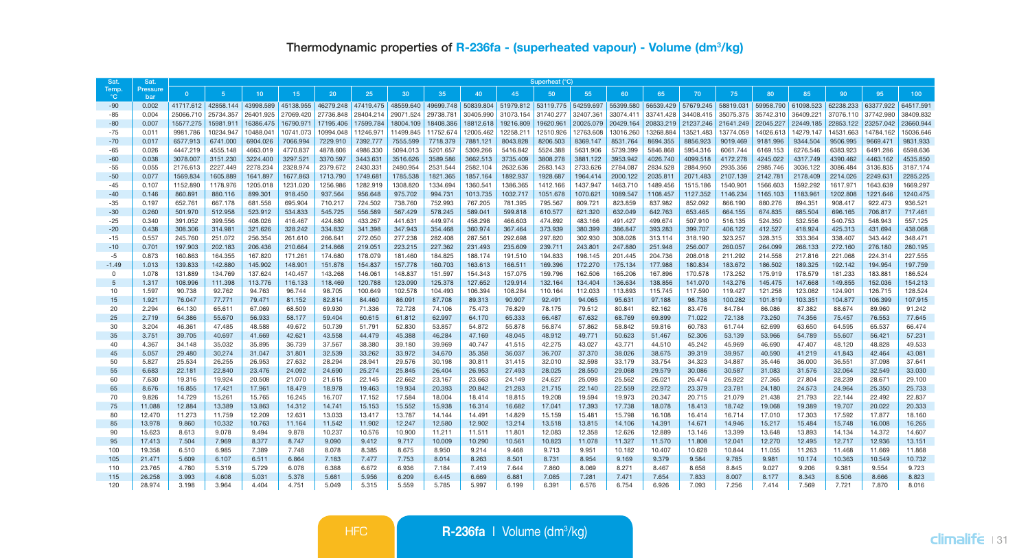| Sat.           | Sat.                   | Superheat (°C)     |                    |                    |                    |                    |                    |                    |                    |                    |                    |                     |                    |                    |                     |                    |                    |                    |                     |                    |                    |                    |
|----------------|------------------------|--------------------|--------------------|--------------------|--------------------|--------------------|--------------------|--------------------|--------------------|--------------------|--------------------|---------------------|--------------------|--------------------|---------------------|--------------------|--------------------|--------------------|---------------------|--------------------|--------------------|--------------------|
| Temp<br>ಿ೧     | Pressure<br><b>bar</b> | $\Omega$           | -5                 | 10                 | 15                 | 20 <sub>2</sub>    | 25                 | 30                 | 35                 | 40                 | 45                 | 50                  | 55                 | 60                 | 65                  | 70                 | 75                 | 80                 | 85                  | 90                 | 95                 | 100                |
| $-90$          | 0.002                  | 41717.612          | 42858.144          | 43998.589          | 45138.955          | 46279,248          | 47419.475          | 48559,640          | 49699.748          | 50839,804          |                    | 51979.812 53119.775 | 54259.697          | 55399.580          | 56539.429 57679.245 |                    | 58819.031          |                    | 59958.790 61098.523 | 62238.233          | 63377,922          | 64517.591          |
| $-85$          | 0.004                  | 25066.710          | 25734.357          | 26401.925          | 27069.420          | 27736.848          | 28404.214          | 29071.524          | 29738.781          | 30405.990          | 31073.154          | 31740.277           | 32407.361          | 33074.411          | 33741.428           | 34408.415          | 35075.375          | 35742.310          | 36409.221           | 37076.110          | 37742.980          | 38409.832          |
| $-80$          | 0.007                  | 15577.275          | 15981.911          | 16386.475          | 16790.971          | 17195.406          | 17599.784          | 18004.109          | 18408.386          | 18812.618          | 19216.809          | 19620.961           | 20025.079          |                    | 20429.164 20833.219 | 21237.246          | 21641.249          | 22045.227          | 22449.185           | 22853.122          | 23257.042          | 23660.944          |
| $-75$          | 0.011                  | 9981.786           | 10234.947          | 10488.041          | 10741.073          | 10994.048          | 11246.971          | 11499.845          | 11752.674          | 12005.462          | 12258.211          | 12510.926           | 12763.608          | 13016.260          | 13268.884           | 13521.483          | 13774.059          | 14026.613          | 14279.147           | 14531.663          | 14784.162          | 15036.646          |
| $-70$          | 0.017                  | 6577.913           | 6741.000           | 6904.026           | 7066.994           | 7229.910           | 7392.777           | 7555.599           | 7718.379           | 7881.121           | 8043.828           | 8206.503            | 8369.147           | 8531.764           | 8694.355            | 8856.923           | 9019.469           | 9181.996           | 9344.504            | 9506.995           | 9669.471           | 9831.933           |
| $-65$          | 0.026                  | 4447.219           | 4555.148           | 4663.019           | 4770.837           | 4878.606           | 4986,330           | 5094.013           | 5201.657           | 5309,266           | 5416.842           | 5524.388            | 5631,906           | 5739.399           | 5846,868            | 5954.316           | 6061.744           | 6169.153           | 6276,546            | 6383.923           | 6491.286           | 6598,636           |
| $-60$          | 0.038                  | 3078.007           | 3151.230           | 3224.400           | 3297.521           | 3370.597           | 3443.631           | 3516.626           | 3589.586           | 3662.513           | 3735.409           | 3808.278            | 3881.122           | 3953.942           | 4026.740            | 4099.518           | 4172.278           | 4245.022           | 4317.749            | 4390.462           | 4463.162           | 4535.850           |
| $-55$          | 0.055                  | 2176.613           | 2227.449           | 2278.234           | 2328.974           | 2379.672           | 2430.331           | 2480.954           | 2531.544           | 2582.104           | 2632.636           | 2683.143            | 2733.626           | 2784.087           | 2834.528            | 2884.950           | 2935.356           | 2985.746           | 3036.122            | 3086.484           | 3136.835           | 3187.174           |
| $-50$          | 0.077                  | 1569.834           | 1605.889           | 1641.897           | 1677.863           | 1713.790           | 1749.681           | 1785.538           | 1821.365           | 1857.164           | 1892.937           | 1928.687            | 1964.414           | 2000.122           | 2035.811            | 2071.483           | 2107.139           | 2142.781           | 2178,409            | 2214.026           | 2249.631           | 2285.225           |
| $-45$          | 0.107                  | 1152,890           | 1178,976           | 1205.018           | 1231.020           | 1256,986           | 1282.919           | 1308,820           | 1334.694           | 1360.541           | 1386.365           | 1412.166            | 1437.947           | 1463.710           | 1489.456            | 1515.186           | 1540.901           | 1566,603           | 1592.292            | 1617.971           | 1643.639           | 1669.297           |
| $-40$          | 0.146                  | 860,891            | 880.116            | 899.301            | 918.450            | 937.564            | 956,648            | 975.702            | 994.731            | 1013,735           | 1032.717           | 1051.678            | 1070.621           | 1089.547           | 1108,457            | 1127.352           | 1146.234           | 1165.103           | 1183.961            | 1202.808           | 1221.646           | 1240.475           |
| $-35$          | 0.197                  | 652.761            | 667.178            | 681.558            | 695.904            | 710,217            | 724.502            | 738,760            | 752.993            | 767,205            | 781.395            | 795.567             | 809.721            | 823,859            | 837.982             | 852.092            | 866,190            | 880,276            | 894.351             | 908.417            | 922.473            | 936.521            |
| $-30$          | 0.260                  | 501.970            | 512.958            | 523.912            | 534.833            | 545.725            | 556,589            | 567.429            | 578.245<br>449.974 | 589.041            | 599.818            | 610.577             | 621.320            | 632.049            | 642.763             | 653,465            | 664.155            | 674.835            | 685,504             | 696.165            | 706,817<br>548,943 | 717.461<br>557.125 |
| $-25$<br>$-20$ | 0.340<br>0.438         | 391.052<br>308,306 | 399,556<br>314,981 | 408.026<br>321.626 | 416.467<br>328.242 | 424,880<br>334,832 | 433.267<br>341.398 | 441.631<br>347.943 | 354,468            | 458.298<br>360,974 | 466,603<br>367,464 | 474.892<br>373,939  | 483.166<br>380,399 | 491.427<br>386,847 | 499.674<br>393.283  | 507.910<br>399,707 | 516.135<br>406.122 | 524.350<br>412,527 | 532.556<br>418.924  | 540.753<br>425.313 | 431.694            | 438.068            |
| $-15$          | 0.557                  | 245.760            | 251.072            | 256,354            | 261.610            | 266.841            | 272.050            | 277,238            | 282.408            | 287.561            | 292.698            | 297.820             | 302.930            | 308,028            | 313.114             | 318,190            | 323.257            | 328,315            | 333,364             | 338,407            | 343,442            | 348,471            |
| $-10$          | 0.701                  | 197.903            | 202.183            | 206.436            | 210.664            | 214,868            | 219,051            | 223.215            | 227.362            | 231.493            | 235,609            | 239.711             | 243.801            | 247,880            | 251.948             | 256,007            | 260.057            | 264.099            | 268,133             | 272.160            | 276.180            | 280.195            |
| $-5$           | 0.873                  | 160.863            | 164.355            | 167,820            | 171.261            | 174,680            | 178,079            | 181.460            | 184.825            | 188.174            | 191.510            | 194,833             | 198.145            | 201.445            | 204,736             | 208,018            | 211.292            | 214.558            | 217,816             | 221.068            | 224.314            | 227.555            |
| $-1.49$        | 1.013                  | 139,833            | 142.880            | 145,902            | 148.901            | 151,878            | 154,837            | 157,778            | 160,703            | 163,613            | 166,511            | 169.396             | 172,270            | 175,134            | 177,988             | 180,834            | 183,672            | 186,502            | 189,325             | 192.142            | 194,954            | 197,759            |
| $\mathbf 0$    | 1.078                  | 131.889            | 134,769            | 137.624            | 140.457            | 143.268            | 146,061            | 148,837            | 151.597            | 154,343            | 157.075            | 159.796             | 162,506            | 165,206            | 167.896             | 170,578            | 173,252            | 175,919            | 178,579             | 181.233            | 183,881            | 186,524            |
| $\overline{5}$ | 1.317                  | 108.996            | 111.398            | 113,776            | 116.133            | 118,469            | 120,788            | 123,090            | 125.378            | 127.652            | 129.914            | 132.164             | 134,404            | 136,634            | 138,856             | 141.070            | 143.276            | 145,475            | 147.668             | 149,855            | 152,036            | 154,213            |
| 10             | 1.597                  | 90.738             | 92.762             | 94.763             | 96.744             | 98.705             | 100.649            | 102.578            | 104.493            | 106.394            | 108.284            | 110.164             | 112.033            | 113.893            | 115,745             | 117,590            | 119,427            | 121.258            | 123.082             | 124.901            | 126.715            | 128.524            |
| 15             | 1.921                  | 76.047             | 77.771             | 79.471             | 81.152             | 82.814             | 84,460             | 86.091             | 87,708             | 89.313             | 90.907             | 92.491              | 94.065             | 95.631             | 97.188              | 98.738             | 100.282            | 101.819            | 103.351             | 104,877            | 106.399            | 107.915            |
| 20             | 2.294                  | 64,130             | 65.611             | 67.069             | 68,509             | 69.930             | 71,336             | 72,728             | 74.106             | 75.473             | 76.829             | 78.175              | 79.512             | 80.841             | 82.162              | 83,476             | 84.784             | 86,086             | 87.382              | 88.674             | 89.960             | 91.242             |
| 25             | 2.719                  | 54,386             | 55,670             | 56,933             | 58.177             | 59,404             | 60.615             | 61.812             | 62.997             | 64.170             | 65.333             | 66,487              | 67.632             | 68,769             | 69.899              | 71.022             | 72.138             | 73,250             | 74.356              | 75,457             | 76.553             | 77.645             |
| 30             | 3.204                  | 46.361             | 47.485             | 48.588             | 49.672             | 50.739             | 51.791             | 52.830             | 53.857             | 54.872             | 55.878             | 56.874              | 57.862             | 58.842             | 59.816              | 60.783             | 61.744             | 62.699             | 63.650              | 64.595             | 65.537             | 66.474             |
| 35             | 3.751                  | 39,705             | 40.697             | 41,669             | 42.621             | 43.558             | 44.479             | 45,388             | 46.284             | 47.169             | 48.045             | 48.912              | 49.771             | 50.623             | 51.467              | 52.306             | 53.139             | 53,966             | 54.789              | 55,607             | 56.421             | 57.231             |
| 40             | 4.367                  | 34.148             | 35.032             | 35.895             | 36.739             | 37.567             | 38,380             | 39.180             | 39,969             | 40.747             | 41.515             | 42.275              | 43.027             | 43.771             | 44.510              | 45.242             | 45.969             | 46.690             | 47,407              | 48.120             | 48.828             | 49.533             |
| 45             | 5.057                  | 29,480             | 30.274             | 31.047             | 31,801             | 32.539             | 33,262             | 33,972             | 34.670             | 35,358             | 36,037             | 36,707              | 37,370             | 38,026             | 38.675              | 39.319             | 39.957             | 40,590             | 41.219              | 41.843             | 42.464             | 43.081             |
| 50             | 5.827                  | 25.534             | 26.255             | 26.953             | 27.632             | 28.294             | 28,941             | 29,576             | 30.198             | 30.811             | 31.415             | 32,010              | 32.598             | 33.179             | 33.754              | 34.323             | 34.887             | 35,446             | 36,000              | 36.551             | 37.098             | 37.641             |
| 55             | 6,683                  | 22.181             | 22,840             | 23,476             | 24.092             | 24,690             | 25,274             | 25,845             | 26,404             | 26,953             | 27,493             | 28.025              | 28,550             | 29,068             | 29.579              | 30.086             | 30.587             | 31.083             | 31,576              | 32.064             | 32.549             | 33,030             |
| 60             | 7.630                  | 19,316             | 19.924             | 20,508             | 21,070             | 21.615             | 22.145             | 22.662             | 23.167             | 23,663             | 24.149             | 24,627              | 25.098             | 25,562             | 26.021              | 26.474             | 26.922             | 27.365             | 27.804              | 28.239             | 28.671             | 29.100<br>25.733   |
| 65<br>70       | 8.676<br>9.826         | 16,855<br>14.729   | 17,421<br>15.261   | 17,961<br>15.765   | 18,479<br>16.245   | 18,978<br>16,707   | 19.463<br>17.152   | 19,934<br>17.584   | 20.393<br>18,004   | 20,842<br>18,414   | 21.283<br>18,815   | 21,715<br>19.208    | 22.140<br>19.594   | 22.559<br>19,973   | 22.972<br>20.347    | 23,379             | 23.781<br>21.079   | 24.180<br>21,438   | 24.573<br>21.793    | 24,964<br>22.144   | 25.350<br>22.492   | 22.837             |
| 75             | 11,088                 | 12,884             | 13.389             | 13,863             | 14.312             | 14,741             | 15.153             | 15,552             | 15,938             | 16.314             | 16,682             | 17,041              | 17,393             | 17,738             | 18.078              | 20.715<br>18,413   | 18.742             | 19,068             | 19.389              | 19,707             | 20.022             | 20.333             |
| 80             | 12,470                 | 11.273             | 11.759             | 12.209             | 12.631             | 13.033             | 13.417             | 13,787             | 14.144             | 14,491             | 14.829             | 15.159              | 15.481             | 15.798             | 16.108              | 16.414             | 16.714             | 17.010             | 17.303              | 17.592             | 17,877             | 18.160             |
| 85             | 13,978                 | 9,860              | 10.332             | 10.763             | 11.164             | 11.542             | 11,902             | 12.247             | 12,580             | 12,902             | 13.214             | 13,518              | 13,815             | 14.106             | 14.391              | 14.671             | 14.946             | 15.217             | 15.484              | 15.748             | 16,008             | 16.265             |
| 90             | 15.623                 | 8.613              | 9,078              | 9.494              | 9,878              | 10.237             | 10.576             | 10,900             | 11.211             | 11.511             | 11,801             | 12.083              | 12.358             | 12.626             | 12.889              | 13.146             | 13,399             | 13,648             | 13,893              | 14.134             | 14.372             | 14.607             |
| 95             | 17,413                 | 7.504              | 7.969              | 8.377              | 8.747              | 9.090              | 9.412              | 9.717              | 10.009             | 10.290             | 10.561             | 10,823              | 11.078             | 11.327             | 11.570              | 11,808             | 12.041             | 12,270             | 12,495              | 12.717             | 12.936             | 13.151             |
| 100            | 19,358                 | 6,510              | 6,985              | 7,389              | 7.748              | 8.078              | 8.385              | 8.675              | 8.950              | 9.214              | 9.468              | 9.713               | 9.951              | 10.182             | 10.407              | 10.628             | 10.844             | 11.055             | 11.263              | 11.468             | 11.669             | 11,868             |
| 105            | 21,471                 | 5.609              | 6.107              | 6.511              | 6.864              | 7.183              | 7.477              | 7.753              | 8.014              | 8.263              | 8.501              | 8.731               | 8.954              | 9.169              | 9.379               | 9.584              | 9.785              | 9.981              | 10.174              | 10.363             | 10.549             | 10.732             |
| 110            | 23,765                 | 4,780              | 5,319              | 5.729              | 6.078              | 6.388              | 6.672              | 6.936              | 7.184              | 7.419              | 7.644              | 7,860               | 8.069              | 8.271              | 8.467               | 8.658              | 8,845              | 9.027              | 9.206               | 9.381              | 9.554              | 9.723              |
| 115            | 26,258                 | 3.993              | 4.608              | 5.031              | 5.378              | 5.681              | 5,956              | 6.209              | 6.445              | 6.669              | 6,881              | 7.085               | 7.281              | 7.471              | 7.654               | 7.833              | 8.007              | 8.177              | 8.343               | 8.506              | 8,666              | 8.823              |
| 120            | 28.974                 | 3.198              | 3.964              | 4.404              | 4.751              | 5.049              | 5.315              | 5.559              | 5.785              | 5.997              | 6.199              | 6.391               | 6.576              | 6.754              | 6.926               | 7.093              | 7.256              | 7.414              | 7.569               | 7.721              | 7,870              | 8.016              |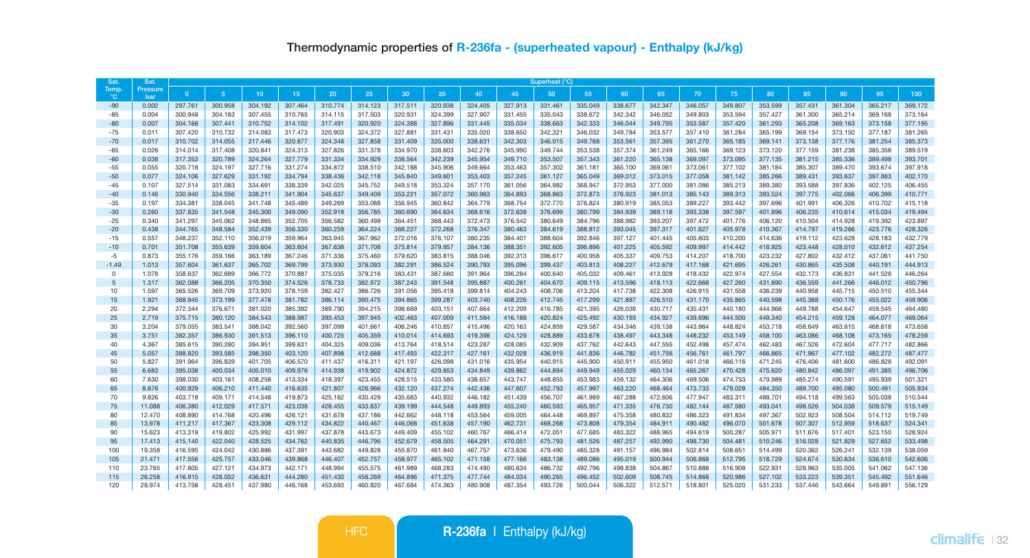| Sat            | Sat.                   | Superheat (°C)     |                    |                    |                    |                    |                    |                    |                    |                    |                    |                    |                    |                    |                    |                    |                    |                    |                    |                    |                    |                    |
|----------------|------------------------|--------------------|--------------------|--------------------|--------------------|--------------------|--------------------|--------------------|--------------------|--------------------|--------------------|--------------------|--------------------|--------------------|--------------------|--------------------|--------------------|--------------------|--------------------|--------------------|--------------------|--------------------|
| Temp.<br>°C    | Pressure<br><b>bar</b> | $\mathbf{0}$       | 5                  | 10 <sup>°</sup>    | 15 <sub>1</sub>    | 20                 | 25                 | 30                 | 35                 | 40                 | 45                 | 50                 | 55                 | 60                 | 65                 | 70                 | 75                 | 80                 | 85                 | 90                 | 95                 | 100                |
| $-90$          | 0.002                  | 297.761            | 300.958            | 304.192            | 307.464            | 310,774            | 314.123            | 317.511            | 320.938            | 324.405            | 327.913            | 331.461            | 335.049            | 338,677            | 342,347            | 346.057            | 349,807            | 353.599            | 357.431            | 361.304            | 365,217            | 369,172            |
| $-85$          | 0.004                  | 300.948            | 304.183            | 307.455            | 310.765            | 314.115            | 317,503            | 320.931            | 324.399            | 327.907            | 331.455            | 335.043            | 338.672            | 342.342            | 346,052            | 349,803            | 353.594            | 357.427            | 361.300            | 365.214            | 369.168            | 373.164            |
| $-80$          | 0.007                  | 304.168            | 307.441            | 310.752            | 314.102            | 317.491            | 320.920            | 324.388            | 327.896            | 331.445            | 335.034            | 338.663            | 342.333            | 346,044            | 349.795            | 353.587            | 357.420            | 361.293            | 365.208            | 369.163            | 373.158            | 377.195            |
| $-75$          | 0.011                  | 307.420            | 310.732            | 314,083            | 317.473            | 320.903            | 324.372            | 327,881            | 331.431            | 335.020            | 338,650            | 342.321            | 346.032            | 349.784            | 353,577            | 357.410            | 361,284            | 365.199            | 369,154            | 373.150            | 377.187            | 381.265            |
| $-70$          | 0.017                  | 310,702            | 314.055            | 317,446            | 320,877            | 324.348            | 327,858            | 331.409            | 335,000            | 338.631            | 342.303            | 346.015            | 349.768            | 353.561            | 357.395            | 361,270            | 365.185            | 369.141            | 373.138            | 377,176            | 381.254            | 385.373            |
| $-65$          | 0.026                  | 314.014            | 317.408            | 320.841            | 324.313            | 327.826            | 331.378            | 334.970            | 338.603            | 342.276            | 345.990            | 349.744            | 353.538            | 357.374            | 361.249            | 365.166            | 369.123            | 373.120            | 377.159            | 381.238            | 385.358            | 389.519            |
| $-60$          | 0.038                  | 317.353            | 320,789            | 324.264            | 327,779            | 331.334            | 334,929            | 338,564            | 342.239            | 345.954            | 349.710            | 353.507            | 357,343            | 361.220            | 365.138            | 369,097            | 373.095            | 377.135            | 381.215            | 385,336            | 389,498            | 393,701            |
| $-55$          | 0.055                  | 320.718            | 324.197            | 327,716            | 331.274            | 334,872            | 338,510            | 342.188            | 345,906            | 349.664            | 353.463            | 357.302            | 361.181            | 365,100            | 369,061            | 373,061            | 377.102            | 381.184            | 385,307            | 389,470            | 393.674            | 397,918            |
| $-50$          | 0.077                  | 324.106            | 327.629            | 331.192            | 334,794            | 338,436            | 342.118            | 345,840            | 349.601            | 353.403            | 357.245            | 361.127            | 365,049            | 369,012            | 373.015            | 377,058            | 381.142            | 385,266            | 389,431            | 393.637            | 397,883            | 402.170            |
| $-45$          | 0.107                  | 327.514            | 331.083            | 334.691            | 338.339            | 342.025            | 345.752            | 349,518            | 353.324            | 357.170            | 361.056            | 364.982            | 368,947            | 372.953            | 377,000            | 381.086            | 385.213            | 389,380            | 393,588            | 397.836            | 402.125            | 406.455            |
| $-40$          | 0.146                  | 330.940            | 334,556            | 338.211            | 341.904            | 345.637            | 349,409            | 353.221            | 357.072            | 360,963            | 364,893            | 368,863            | 372,873            | 376,923            | 381.013            | 385.143            | 389.313            | 393.524            | 397,775            | 402.066            | 406.399            | 410.771            |
| $-35$          | 0.197                  | 334.381            | 338.045            | 341.748            | 345.489            | 349.269            | 353,088            | 356.945            | 360.842            | 364,779            | 368.754            | 372,770            | 376,824            | 380,919            | 385.053            | 389,227            | 393.442            | 397.696            | 401.991            | 406.326            | 410.702            | 415.118            |
| $-30$          | 0.260                  | 337.835            | 341.548            | 345,300            | 349.090            | 352.918            | 356,785            | 360,690            | 364.634            | 368,616            | 372.638            | 376.699            | 380.799            | 384,939            | 389.118            | 393.338            | 397.597            | 401.896            | 406.235            | 410.614            | 415.034            | 419,494            |
| $-25$          | 0.340                  | 341.297            | 345.062            | 348.865            | 352,705            | 356,582            | 360,498            | 364,451            | 368,443            | 372.473            | 376,542            | 380.649            | 384.796            | 388,982            | 393.207            | 397.472            | 401.776            | 406.120            | 410,504            | 414.928            | 419.392            | 423.897            |
| $-20$<br>$-15$ | 0.438<br>0.557         | 344.765<br>348,237 | 348.584<br>352.110 | 352.439<br>356,019 | 356,330<br>359.964 | 360.259<br>363.945 | 364.224<br>367.962 | 368.227<br>372.016 | 372.268<br>376.107 | 376,347<br>380.235 | 380.463<br>384.401 | 384.619<br>388,604 | 388,812<br>392.846 | 393.045<br>397.127 | 397.317<br>401.445 | 401.627<br>405.803 | 405.978<br>410,200 | 410.367<br>414,636 | 414,797<br>419.112 | 419,266<br>423.628 | 423,776<br>428.183 | 428.326<br>432.779 |
| $-10$          | 0.701                  | 351.708            | 355,639            | 359,604            | 363,604            | 367,638            | 371,708            | 375,814            | 379,957            | 384.136            | 388,351            | 392.605            | 396,896            | 401.225            | 405.592            | 409.997            | 414.442            | 418.925            | 423,448            | 428,010            | 432.612            | 437.254            |
| $-5$           | 0.873                  | 355.176            | 359.166            | 363.189            | 367.246            | 371.336            | 375,460            | 379,620            | 383.815            | 388,046            | 392.313            | 396.617            | 400.958            | 405.337            | 409.753            | 414,207            | 418,700            | 423.232            | 427.802            | 432.412            | 437.061            | 441.750            |
| $-1.49$        | 1.013                  | 357.604            | 361.637            | 365,702            | 369,799            | 373,930            | 378,093            | 382.291            | 386.524            | 390.793            | 395,096            | 399.437            | 403.813            | 408.227            | 412.679            | 417.168            | 421.695            | 426.261            | 430.865            | 435,508            | 440.191            | 444.913            |
| $\Omega$       | 1.078                  | 358.637            | 362.689            | 366.772            | 370.887            | 375.035            | 379.216            | 383.431            | 387,680            | 391.964            | 396.284            | 400.640            | 405.032            | 409.461            | 413.928            | 418.432            | 422.974            | 427.554            | 432.173            | 436.831            | 441.528            | 446.264            |
| 5              | 1.317                  | 362.088            | 366.205            | 370.350            | 374.526            | 378.733            | 382.972            | 387.243            | 391.548            | 395,887            | 400.261            | 404.670            | 409.115            | 413.596            | 418.113            | 422.668            | 427.260            | 431.890            | 436.559            | 441.266            | 446.012            | 450.796            |
| 10             | 1.597                  | 365.526            | 369.709            | 373.920            | 378.159            | 382.427            | 386.726            | 391.056            | 395.418            | 399.814            | 404.243            | 408.706            | 413.204            | 417.738            | 422.308            | 426.915            | 431.558            | 436.239            | 440.958            | 445.715            | 450.510            | 455.344            |
| 15             | 1.921                  | 368,945            | 373.199            | 377,478            | 381.782            | 386,114            | 390.475            | 394.865            | 399.287            | 403.740            | 408.226            | 412.745            | 417.299            | 421.887            | 426.510            | 431.170            | 435.865            | 440,598            | 445.368            | 450.176            | 455.022            | 459,906            |
| 20             | 2.294                  | 372.344            | 376.671            | 381.020            | 385.392            | 389,790            | 394.215            | 398,669            | 403.151            | 407.664            | 412.209            | 416.785            | 421.395            | 426,039            | 430.717            | 435,431            | 440.180            | 444.966            | 449.788            | 454.647            | 459.545            | 464,480            |
| 25             | 2.719                  | 375,715            | 380.120            | 384.543            | 388,987            | 393,453            | 397.945            | 402.463            | 407.009            | 411.584            | 416.188            | 420.824            | 425.492            | 430.193            | 434,927            | 439.696            | 444,500            | 449,340            | 454.215            | 459.128            | 464,077            | 469.064            |
| 30             | 3.204                  | 379.055            | 383.541            | 388.042            | 392.560            | 397.099            | 401.661            | 406.246            | 410.857            | 415.496            | 420.163            | 424.859            | 429.587            | 434.346            | 439.138            | 443.964            | 448.824            | 453.718            | 458.649            | 463.615            | 468.618            | 473.658            |
| 35             | 3.751                  | 382.357            | 386,930            | 391.513            | 396.110            | 400.725            | 405.359            | 410.014            | 414.693            | 419.398            | 424.129            | 428.889            | 433.678            | 438,497            | 443.348            | 448.232            | 453.149            | 458.100            | 463.086            | 468.108            | 473.165            | 478.259            |
| 40             | 4.367                  | 385.615            | 390.280            | 394.951            | 399.631            | 404.325            | 409.036            | 413.764            | 418.514            | 423.287            | 428.085            | 432.909            | 437.762            | 442.643            | 447.555            | 452.498            | 457.474            | 462.483            | 467.526            | 472.604            | 477.717            | 482.866            |
| 45             | 5.057                  | 388,820            | 393.585            | 398,350            | 403.120            | 407.898            | 412.688            | 417.493            | 422.317            | 427.161            | 432.028            | 436.919            | 441.836            | 446.782            | 451.756            | 456,761            | 461.797            | 466,865            | 471.967            | 477.102            | 482.272            | 487.477            |
| 50             | 5.827                  | 391.964            | 396.839            | 401.705            | 406.570            | 411.437            | 416.311            | 421.197            | 426.098            | 431.016            | 435.954            | 440.915            | 445.900            | 450.911            | 455.950            | 461.018            | 466.116            | 471.245            | 476,406            | 481,600            | 486.828            | 492.091            |
| 55             | 6,683                  | 395.038            | 400.034            | 405.010            | 409.976            | 414.938            | 419,902            | 424.872            | 429.853            | 434.849            | 439.862            | 444.894            | 449.949            | 455.029            | 460.134            | 465,267            | 470.428            | 475,620            | 480.842            | 486.097            | 491.385            | 496,706            |
| 60             | 7.630                  | 398,030            | 403.161            | 408.258            | 413.334            | 418.397            | 423.455            | 428.515            | 433.580            | 438.657            | 443.747            | 448.855            | 453.983            | 459.132            | 464.306            | 469,506            | 474.733            | 479.989            | 485.274            | 490.591            | 495.939            | 501.321            |
| 65             | 8.676                  | 400.929            | 406.210            | 411.440            | 416.635            | 421.807            | 426.966            | 432.120            | 437.274            | 442.436            | 447.607            | 452.793            | 457.997            | 463,220            | 468,464            | 473.733            | 479.028            | 484.350            | 489,700            | 495.080            | 500.491            | 505.934            |
| 70             | 9.826                  | 403.718            | 409.171            | 414.548            | 419.873            | 425.162            | 430.429            | 435.683            | 440.932            | 446.182            | 451.439            | 456.707            | 461.989            | 467.288            | 472.606            | 477.947            | 483.311            | 488.701            | 494.118            | 499.563            | 505.038            | 510,544            |
| 75             | 11.088                 | 406.380            | 412.029            | 417.571            | 423.038            | 428,455            | 433.837            | 439.199            | 444.548            | 449.893            | 455.240            | 460.593            | 465.957            | 471.335            | 476,730            | 482.144            | 487.580            | 493.041            | 498.526            | 504.038            | 509,579            | 515.149            |
| 80             | 12,470                 | 408.890            | 414.768            | 420.496            | 426.121            | 431,678            | 437.186            | 442.662            | 448.118            | 453.564            | 459.005            | 464,448            | 469.897            | 475.358            | 480.832            | 486.323            | 491.834            | 497.367            | 502.923            | 508,504            | 514.112            | 519,749            |
| 85             | 13,978                 | 411.217            | 417.367            | 423.308            | 429.112            | 434.822            | 440,467            | 446.068            | 451.638            | 457.190            | 462.731            | 468.268            | 473,808            | 479.354            | 484.911            | 490.482            | 496.070            | 501.678            | 507.307            | 512.959            | 518,637            | 524.341            |
| 90             | 15,623                 | 413.319            | 419,802            | 425.992            | 431.997            | 437.878            | 443.673            | 449,409            | 455.102            | 460.767            | 466.414            | 472.051            | 477.685            | 483.322            | 488.965            | 494.619            | 500.287            | 505.971            | 511.676            | 517.401            | 523.150            | 528,924            |
| 95             | 17,413                 | 415.140            | 422.040            | 428.525            | 434.762            | 440.835            | 446.796            | 452.679            | 458.505            | 464.291            | 470.051            | 475.793            | 481.526            | 487.257            | 492.990            | 498.730            | 504,481            | 510.246            | 516,028            | 521.829            | 527.652            | 533,498            |
| 100            | 19.358                 | 416.595            | 424.042            | 430.886            | 437.391            | 443.682            | 449.828            | 455.870            | 461.840            | 467.757            | 473.636            | 479.490            | 485.328            | 491.157            | 496.984            | 502.814            | 508.651            | 514.499            | 520.362            | 526.241            | 532.139            | 538.059            |
| 105            | 21.471                 | 417.556            | 425.757            | 433.046            | 439.868            | 446.407            | 452.757            | 458.977            | 465.102            | 471.158            | 477.166            | 483.138            | 489,086            | 495.019            | 500,944            | 506.868            | 512.795            | 518.729            | 524.674            | 530.634            | 536,610            | 542,606            |
| 110            | 23.765                 | 417.805            | 427.121            | 434.973            | 442.171            | 448.994            | 455.575            | 461.989            | 468.283            | 474,490            | 480.634            | 486.732            | 492.796            | 498.838            | 504.867            | 510,888            | 516.908            | 522.931            | 528.963            | 535.005            | 541.062            | 547.136            |
| 115            | 26,258                 | 416.915            | 428.052            | 436.631            | 444.280            | 451.430            | 458.269            | 464.896            | 471.375            | 477.744            | 484.034            | 490.265            | 496.452            | 502,609            | 508.745            | 514,868            | 520,986            | 527.102            | 533.223            | 539.351            | 545.492            | 551.646            |
| 120            | 28.974                 | 413.758            | 428.451            | 437.980            | 446.168            | 453.693            | 460.820            | 467.684            | 474.363            | 480.908            | 487.354            | 493.726            | 500.044            | 506.322            | 512.571            | 518.801            | 525.020            | 531.233            | 537.446            | 543.664            | 549.891            | 556.129            |